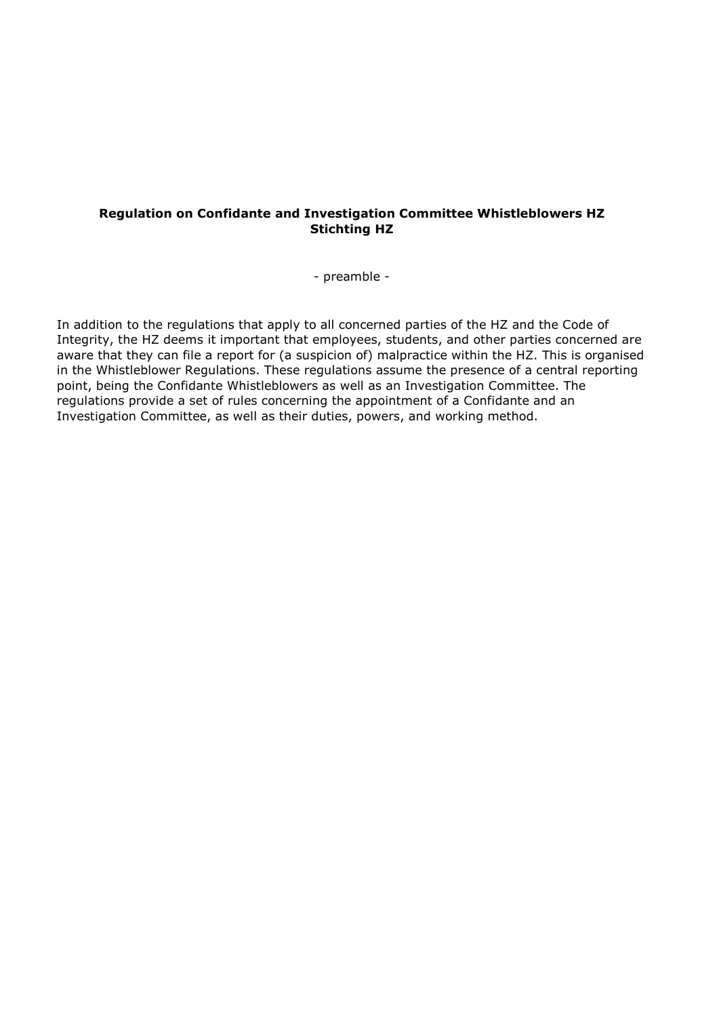## **Regulation on Confidante and Investigation Committee Whistleblowers HZ Stichting HZ**

- preamble -

In addition to the regulations that apply to all concerned parties of the HZ and the Code of Integrity, the HZ deems it important that employees, students, and other parties concerned are aware that they can file a report for (a suspicion of) malpractice within the HZ. This is organised in the Whistleblower Regulations. These regulations assume the presence of a central reporting point, being the Confidante Whistleblowers as well as an Investigation Committee. The regulations provide a set of rules concerning the appointment of a Confidante and an Investigation Committee, as well as their duties, powers, and working method.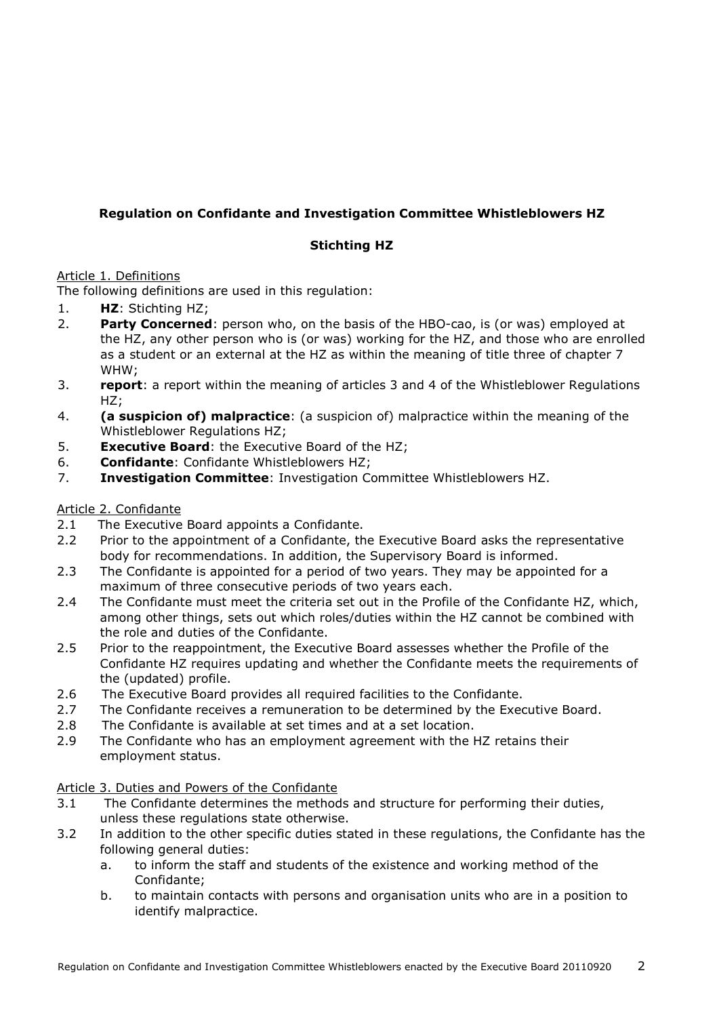# **Regulation on Confidante and Investigation Committee Whistleblowers HZ**

# **Stichting HZ**

## Article 1. Definitions

The following definitions are used in this regulation:

- 1. **HZ**: Stichting HZ;
- 2. **Party Concerned**: person who, on the basis of the HBO-cao, is (or was) employed at the HZ, any other person who is (or was) working for the HZ, and those who are enrolled as a student or an external at the HZ as within the meaning of title three of chapter 7 WHW;
- 3. **report**: a report within the meaning of articles 3 and 4 of the Whistleblower Regulations  $HZ$ :
- 4. **(a suspicion of) malpractice**: (a suspicion of) malpractice within the meaning of the Whistleblower Regulations HZ;
- 5. **Executive Board**: the Executive Board of the HZ;
- 6. **Confidante**: Confidante Whistleblowers HZ;
- 7. **Investigation Committee**: Investigation Committee Whistleblowers HZ.

# Article 2. Confidante

- 2.1 The Executive Board appoints a Confidante.
- 2.2 Prior to the appointment of a Confidante, the Executive Board asks the representative body for recommendations. In addition, the Supervisory Board is informed.
- 2.3 The Confidante is appointed for a period of two years. They may be appointed for a maximum of three consecutive periods of two years each.
- 2.4 The Confidante must meet the criteria set out in the Profile of the Confidante HZ, which, among other things, sets out which roles/duties within the HZ cannot be combined with the role and duties of the Confidante.
- 2.5 Prior to the reappointment, the Executive Board assesses whether the Profile of the Confidante HZ requires updating and whether the Confidante meets the requirements of the (updated) profile.
- 2.6 The Executive Board provides all required facilities to the Confidante.
- 2.7 The Confidante receives a remuneration to be determined by the Executive Board.
- 2.8 The Confidante is available at set times and at a set location.
- 2.9 The Confidante who has an employment agreement with the HZ retains their employment status.

## Article 3. Duties and Powers of the Confidante

- 3.1 The Confidante determines the methods and structure for performing their duties, unless these regulations state otherwise.
- 3.2 In addition to the other specific duties stated in these regulations, the Confidante has the following general duties:
	- a. to inform the staff and students of the existence and working method of the Confidante;
	- b. to maintain contacts with persons and organisation units who are in a position to identify malpractice.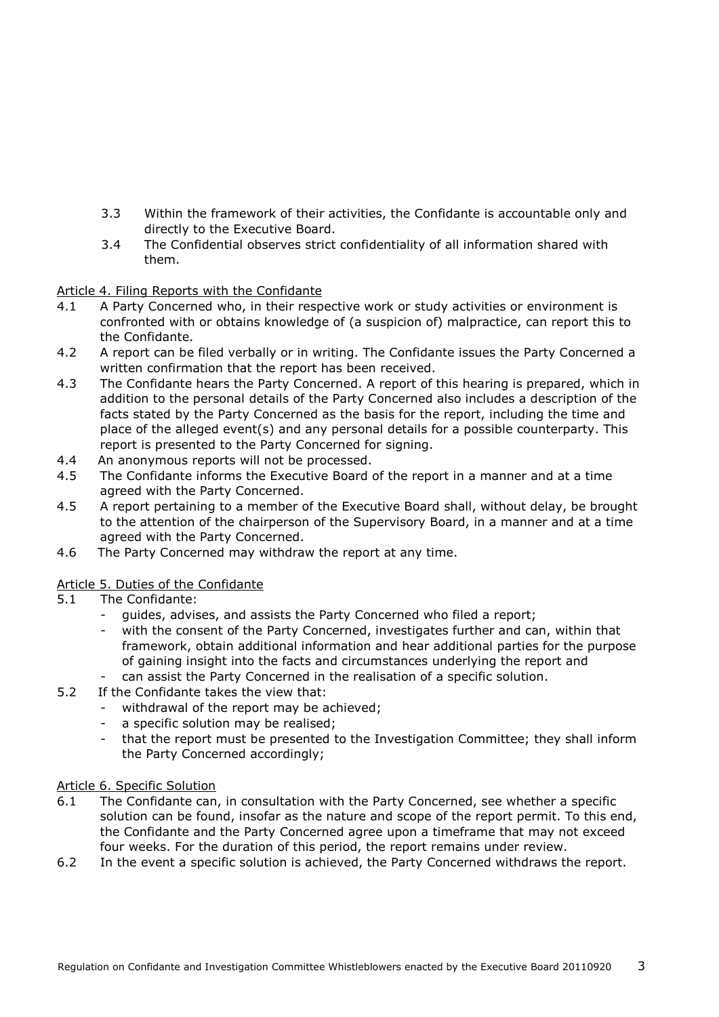- 3.3 Within the framework of their activities, the Confidante is accountable only and directly to the Executive Board.
- 3.4 The Confidential observes strict confidentiality of all information shared with them.

### Article 4. Filing Reports with the Confidante

- 4.1 A Party Concerned who, in their respective work or study activities or environment is confronted with or obtains knowledge of (a suspicion of) malpractice, can report this to the Confidante.
- 4.2 A report can be filed verbally or in writing. The Confidante issues the Party Concerned a written confirmation that the report has been received.
- 4.3 The Confidante hears the Party Concerned. A report of this hearing is prepared, which in addition to the personal details of the Party Concerned also includes a description of the facts stated by the Party Concerned as the basis for the report, including the time and place of the alleged event(s) and any personal details for a possible counterparty. This report is presented to the Party Concerned for signing.
- 4.4 An anonymous reports will not be processed.
- 4.5 The Confidante informs the Executive Board of the report in a manner and at a time agreed with the Party Concerned.
- 4.5 A report pertaining to a member of the Executive Board shall, without delay, be brought to the attention of the chairperson of the Supervisory Board, in a manner and at a time agreed with the Party Concerned.
- 4.6 The Party Concerned may withdraw the report at any time.

## Article 5. Duties of the Confidante

- 5.1 The Confidante:
	- guides, advises, and assists the Party Concerned who filed a report;
	- with the consent of the Party Concerned, investigates further and can, within that framework, obtain additional information and hear additional parties for the purpose of gaining insight into the facts and circumstances underlying the report and
- can assist the Party Concerned in the realisation of a specific solution.
- 5.2 If the Confidante takes the view that:
	- withdrawal of the report may be achieved;
	- a specific solution may be realised;
	- that the report must be presented to the Investigation Committee; they shall inform the Party Concerned accordingly;

#### Article 6. Specific Solution

- 6.1 The Confidante can, in consultation with the Party Concerned, see whether a specific solution can be found, insofar as the nature and scope of the report permit. To this end, the Confidante and the Party Concerned agree upon a timeframe that may not exceed four weeks. For the duration of this period, the report remains under review.
- 6.2 In the event a specific solution is achieved, the Party Concerned withdraws the report.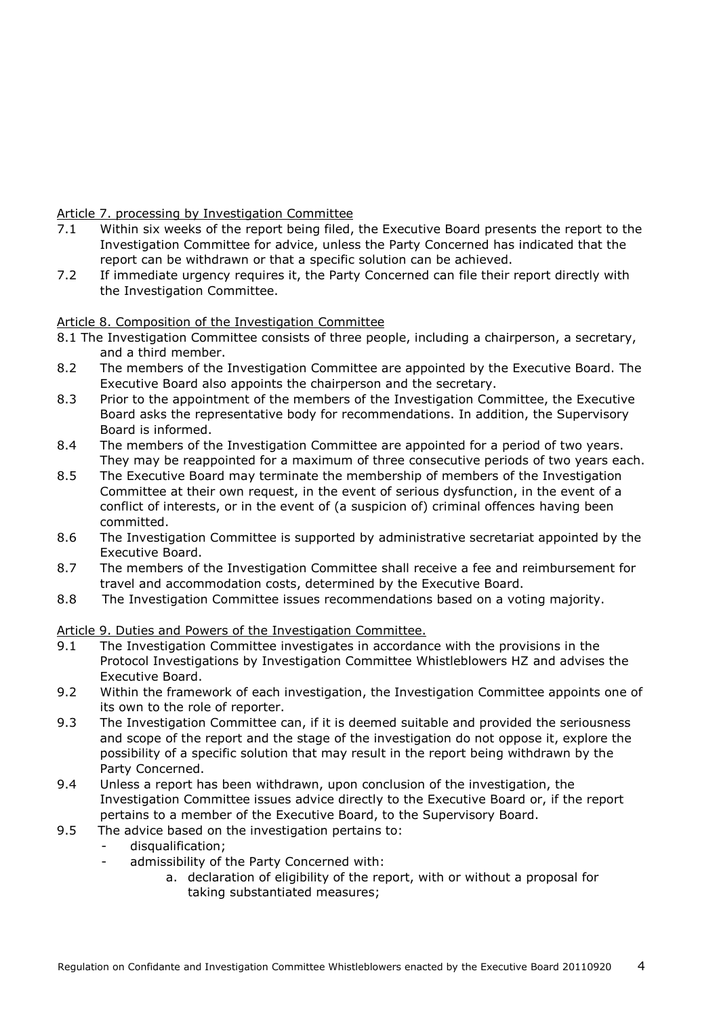## Article 7. processing by Investigation Committee

- 7.1 Within six weeks of the report being filed, the Executive Board presents the report to the Investigation Committee for advice, unless the Party Concerned has indicated that the report can be withdrawn or that a specific solution can be achieved.
- 7.2 If immediate urgency requires it, the Party Concerned can file their report directly with the Investigation Committee.

# Article 8. Composition of the Investigation Committee

- 8.1 The Investigation Committee consists of three people, including a chairperson, a secretary, and a third member.
- 8.2 The members of the Investigation Committee are appointed by the Executive Board. The Executive Board also appoints the chairperson and the secretary.
- 8.3 Prior to the appointment of the members of the Investigation Committee, the Executive Board asks the representative body for recommendations. In addition, the Supervisory Board is informed.
- 8.4 The members of the Investigation Committee are appointed for a period of two years. They may be reappointed for a maximum of three consecutive periods of two years each.
- 8.5 The Executive Board may terminate the membership of members of the Investigation Committee at their own request, in the event of serious dysfunction, in the event of a conflict of interests, or in the event of (a suspicion of) criminal offences having been committed.
- 8.6 The Investigation Committee is supported by administrative secretariat appointed by the Executive Board.
- 8.7 The members of the Investigation Committee shall receive a fee and reimbursement for travel and accommodation costs, determined by the Executive Board.
- 8.8 The Investigation Committee issues recommendations based on a voting majority.

Article 9. Duties and Powers of the Investigation Committee.

- 9.1 The Investigation Committee investigates in accordance with the provisions in the Protocol Investigations by Investigation Committee Whistleblowers HZ and advises the Executive Board.
- 9.2 Within the framework of each investigation, the Investigation Committee appoints one of its own to the role of reporter.
- 9.3 The Investigation Committee can, if it is deemed suitable and provided the seriousness and scope of the report and the stage of the investigation do not oppose it, explore the possibility of a specific solution that may result in the report being withdrawn by the Party Concerned.
- 9.4 Unless a report has been withdrawn, upon conclusion of the investigation, the Investigation Committee issues advice directly to the Executive Board or, if the report pertains to a member of the Executive Board, to the Supervisory Board.
- 9.5 The advice based on the investigation pertains to:
	- disqualification;
	- admissibility of the Party Concerned with:
		- a. declaration of eligibility of the report, with or without a proposal for taking substantiated measures;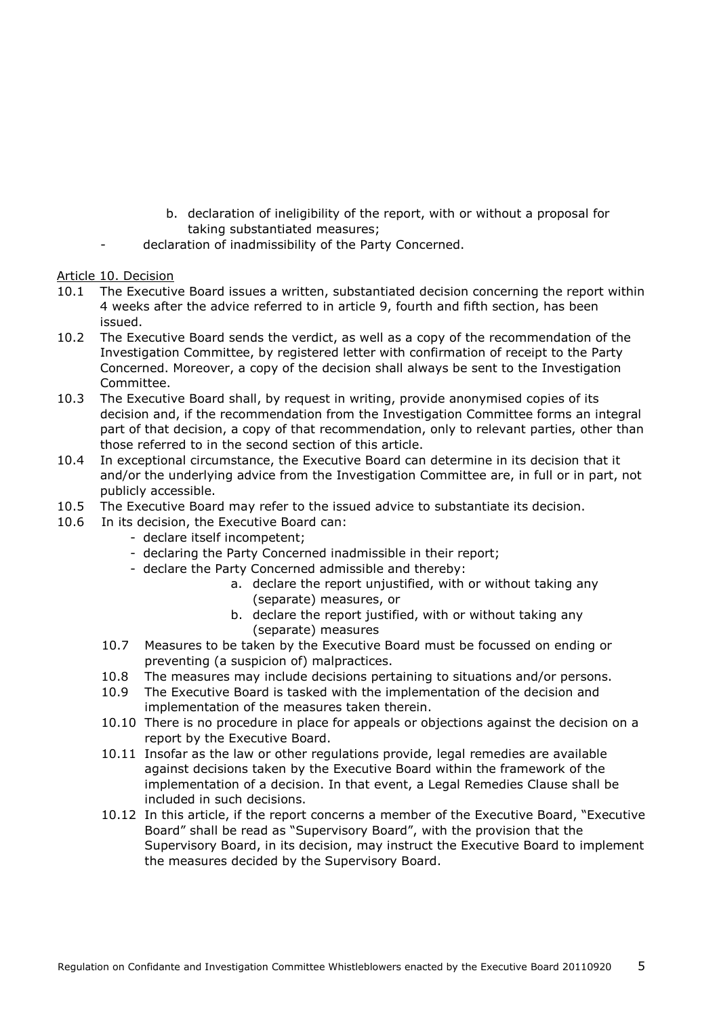- b. declaration of ineligibility of the report, with or without a proposal for taking substantiated measures;
- declaration of inadmissibility of the Party Concerned.

### Article 10. Decision

- 10.1 The Executive Board issues a written, substantiated decision concerning the report within 4 weeks after the advice referred to in article 9, fourth and fifth section, has been issued.
- 10.2 The Executive Board sends the verdict, as well as a copy of the recommendation of the Investigation Committee, by registered letter with confirmation of receipt to the Party Concerned. Moreover, a copy of the decision shall always be sent to the Investigation Committee.
- 10.3 The Executive Board shall, by request in writing, provide anonymised copies of its decision and, if the recommendation from the Investigation Committee forms an integral part of that decision, a copy of that recommendation, only to relevant parties, other than those referred to in the second section of this article.
- 10.4 In exceptional circumstance, the Executive Board can determine in its decision that it and/or the underlying advice from the Investigation Committee are, in full or in part, not publicly accessible.
- 10.5 The Executive Board may refer to the issued advice to substantiate its decision.
- 10.6 In its decision, the Executive Board can:
	- declare itself incompetent;
	- declaring the Party Concerned inadmissible in their report;
	- declare the Party Concerned admissible and thereby:
		- a. declare the report unjustified, with or without taking any (separate) measures, or
		- b. declare the report justified, with or without taking any (separate) measures
	- 10.7 Measures to be taken by the Executive Board must be focussed on ending or preventing (a suspicion of) malpractices.
	- 10.8 The measures may include decisions pertaining to situations and/or persons.
	- 10.9 The Executive Board is tasked with the implementation of the decision and implementation of the measures taken therein.
	- 10.10 There is no procedure in place for appeals or objections against the decision on a report by the Executive Board.
	- 10.11 Insofar as the law or other regulations provide, legal remedies are available against decisions taken by the Executive Board within the framework of the implementation of a decision. In that event, a Legal Remedies Clause shall be included in such decisions.
	- 10.12 In this article, if the report concerns a member of the Executive Board, "Executive Board" shall be read as "Supervisory Board", with the provision that the Supervisory Board, in its decision, may instruct the Executive Board to implement the measures decided by the Supervisory Board.